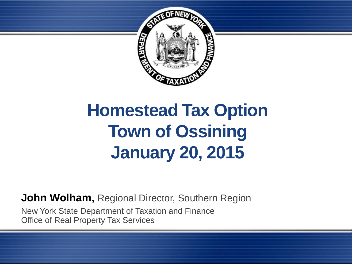

# **Homestead Tax Option Town of Ossining January 20, 2015**

**John Wolham,** Regional Director, Southern Region

New York State Department of Taxation and Finance Office of Real Property Tax Services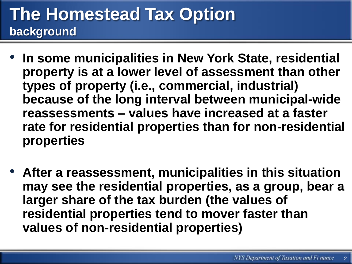#### **The Homestead Tax Option background**

- **In some municipalities in New York State, residential property is at a lower level of assessment than other types of property (i.e., commercial, industrial) because of the long interval between municipal-wide reassessments – values have increased at a faster rate for residential properties than for non-residential properties**
- **After a reassessment, municipalities in this situation may see the residential properties, as a group, bear a larger share of the tax burden (the values of residential properties tend to mover faster than values of non-residential properties)**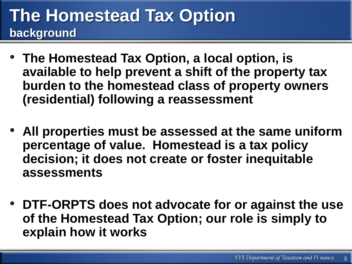#### **The Homestead Tax Option background**

- **The Homestead Tax Option, a local option, is available to help prevent a shift of the property tax burden to the homestead class of property owners (residential) following a reassessment**
- **All properties must be assessed at the same uniform percentage of value. Homestead is a tax policy decision; it does not create or foster inequitable assessments**
- **DTF-ORPTS does not advocate for or against the use of the Homestead Tax Option; our role is simply to explain how it works**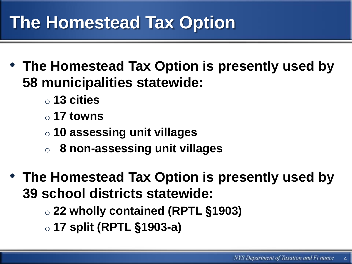## **The Homestead Tax Option**

- **The Homestead Tax Option is presently used by 58 municipalities statewide:**
	- o **13 cities**
	- o **17 towns**
	- o **10 assessing unit villages**
	- o **8 non-assessing unit villages**
- **The Homestead Tax Option is presently used by 39 school districts statewide:**
	- o **22 wholly contained (RPTL §1903)**
	- o **17 split (RPTL §1903-a)**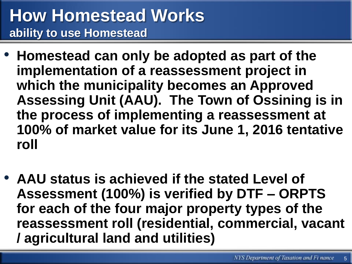#### **How Homestead Works ability to use Homestead**

- **Homestead can only be adopted as part of the implementation of a reassessment project in which the municipality becomes an Approved Assessing Unit (AAU). The Town of Ossining is in the process of implementing a reassessment at 100% of market value for its June 1, 2016 tentative roll**
- **AAU status is achieved if the stated Level of Assessment (100%) is verified by DTF – ORPTS for each of the four major property types of the reassessment roll (residential, commercial, vacant / agricultural land and utilities)**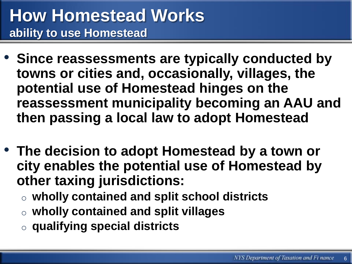- **Since reassessments are typically conducted by towns or cities and, occasionally, villages, the potential use of Homestead hinges on the reassessment municipality becoming an AAU and then passing a local law to adopt Homestead**
- **The decision to adopt Homestead by a town or city enables the potential use of Homestead by other taxing jurisdictions:**
	- o **wholly contained and split school districts**
	- o **wholly contained and split villages**
	- o **qualifying special districts**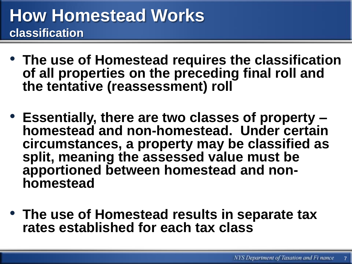- **The use of Homestead requires the classification of all properties on the preceding final roll and the tentative (reassessment) roll**
- **Essentially, there are two classes of property – homestead and non-homestead. Under certain circumstances, a property may be classified as split, meaning the assessed value must be apportioned between homestead and nonhomestead**
- **The use of Homestead results in separate tax rates established for each tax class**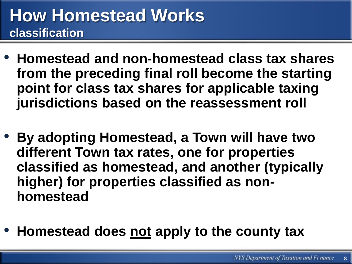- **Homestead and non-homestead class tax shares from the preceding final roll become the starting point for class tax shares for applicable taxing jurisdictions based on the reassessment roll**
- **By adopting Homestead, a Town will have two different Town tax rates, one for properties classified as homestead, and another (typically higher) for properties classified as nonhomestead**
- **Homestead does not apply to the county tax**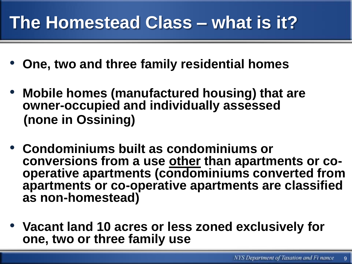## **The Homestead Class – what is it?**

- **One, two and three family residential homes**
- **Mobile homes (manufactured housing) that are owner-occupied and individually assessed (none in Ossining)**
- **Condominiums built as condominiums or conversions from a use other than apartments or cooperative apartments (condominiums converted from apartments or co-operative apartments are classified as non-homestead)**
- **Vacant land 10 acres or less zoned exclusively for one, two or three family use**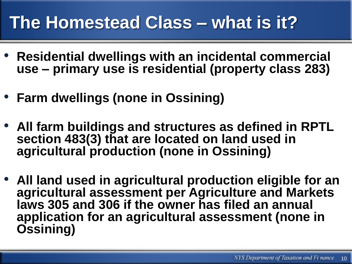## **The Homestead Class – what is it?**

- **Residential dwellings with an incidental commercial use – primary use is residential (property class 283)**
- **Farm dwellings (none in Ossining)**
- **All farm buildings and structures as defined in RPTL section 483(3) that are located on land used in agricultural production (none in Ossining)**
- **All land used in agricultural production eligible for an agricultural assessment per Agriculture and Markets laws 305 and 306 if the owner has filed an annual application for an agricultural assessment (none in Ossining)**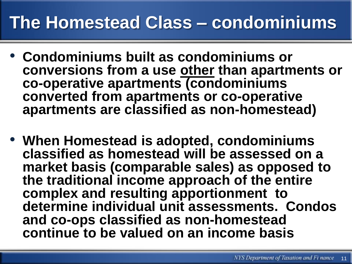#### **The Homestead Class – condominiums**

- **Condominiums built as condominiums or conversions from a use other than apartments or co-operative apartments (condominiums converted from apartments or co-operative apartments are classified as non-homestead)**
- **When Homestead is adopted, condominiums classified as homestead will be assessed on a market basis (comparable sales) as opposed to the traditional income approach of the entire complex and resulting apportionment to determine individual unit assessments. Condos and co-ops classified as non-homestead continue to be valued on an income basis**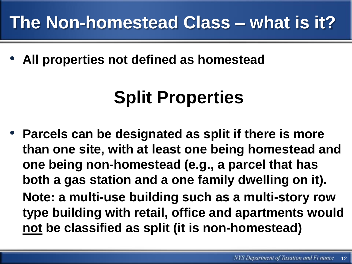## **The Non-homestead Class – what is it?**

• **All properties not defined as homestead**

# **Split Properties**

• **Parcels can be designated as split if there is more than one site, with at least one being homestead and one being non-homestead (e.g., a parcel that has both a gas station and a one family dwelling on it). Note: a multi-use building such as a multi-story row type building with retail, office and apartments would not be classified as split (it is non-homestead)**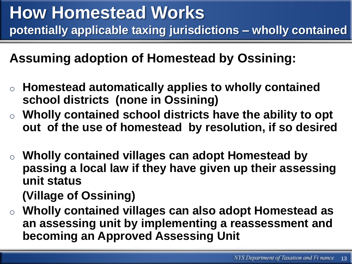**Assuming adoption of Homestead by Ossining:**

- o **Homestead automatically applies to wholly contained school districts (none in Ossining)**
- o **Wholly contained school districts have the ability to opt out of the use of homestead by resolution, if so desired**
- o **Wholly contained villages can adopt Homestead by passing a local law if they have given up their assessing unit status**

**(Village of Ossining)**

o **Wholly contained villages can also adopt Homestead as an assessing unit by implementing a reassessment and becoming an Approved Assessing Unit**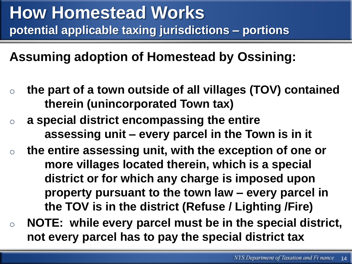**Assuming adoption of Homestead by Ossining:**

- o **the part of a town outside of all villages (TOV) contained therein (unincorporated Town tax)**
- o **a special district encompassing the entire assessing unit – every parcel in the Town is in it**
- o **the entire assessing unit, with the exception of one or more villages located therein, which is a special district or for which any charge is imposed upon property pursuant to the town law – every parcel in the TOV is in the district (Refuse / Lighting /Fire)**
- o **NOTE: while every parcel must be in the special district, not every parcel has to pay the special district tax**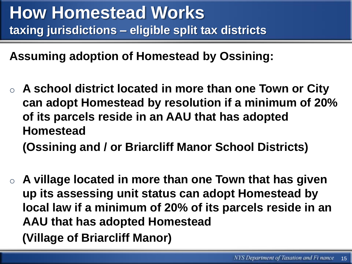**Assuming adoption of Homestead by Ossining:**

- o **A school district located in more than one Town or City can adopt Homestead by resolution if a minimum of 20% of its parcels reside in an AAU that has adopted Homestead (Ossining and / or Briarcliff Manor School Districts)**
- o **A village located in more than one Town that has given up its assessing unit status can adopt Homestead by local law if a minimum of 20% of its parcels reside in an AAU that has adopted Homestead (Village of Briarcliff Manor)**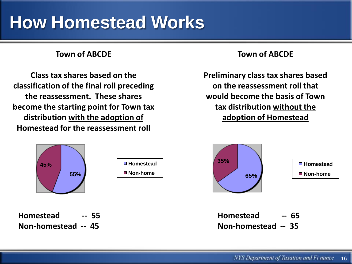#### **How Homestead Works**

#### **Town of ABCDE**

**Class tax shares based on the classification of the final roll preceding the reassessment. These shares become the starting point for Town tax distribution with the adoption of Homestead for the reassessment roll**



**Homestead -- 55 Non-homestead -- 45**

#### **Town of ABCDE**

**Preliminary class tax shares based on the reassessment roll that would become the basis of Town tax distribution without the adoption of Homestead**

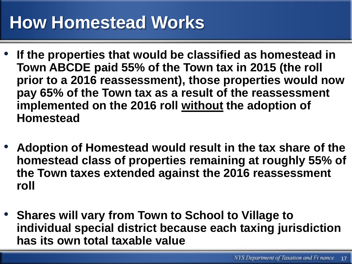## **How Homestead Works**

- **If the properties that would be classified as homestead in Town ABCDE paid 55% of the Town tax in 2015 (the roll prior to a 2016 reassessment), those properties would now pay 65% of the Town tax as a result of the reassessment implemented on the 2016 roll without the adoption of Homestead**
- **Adoption of Homestead would result in the tax share of the homestead class of properties remaining at roughly 55% of the Town taxes extended against the 2016 reassessment roll**
- **Shares will vary from Town to School to Village to individual special district because each taxing jurisdiction has its own total taxable value**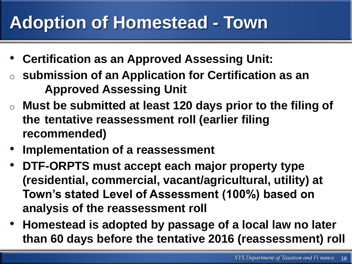## **Adoption of Homestead - Town**

- **Certification as an Approved Assessing Unit:**
- submission of an Application for Certification as an **Approved Assessing Unit**
- o **Must be submitted at least 120 days prior to the filing of the tentative reassessment roll (earlier filing recommended)**
- **Implementation of a reassessment**
- **DTF-ORPTS must accept each major property type (residential, commercial, vacant/agricultural, utility) at Town's stated Level of Assessment (100%) based on analysis of the reassessment roll**
- **Homestead is adopted by passage of a local law no later than 60 days before the tentative 2016 (reassessment) roll**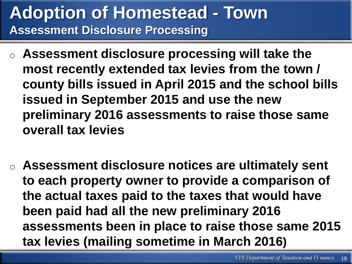#### **Adoption of Homestead - Town Assessment Disclosure Processing**

- o **Assessment disclosure processing will take the most recently extended tax levies from the town / county bills issued in April 2015 and the school bills issued in September 2015 and use the new preliminary 2016 assessments to raise those same overall tax levies**
- o **Assessment disclosure notices are ultimately sent to each property owner to provide a comparison of the actual taxes paid to the taxes that would have been paid had all the new preliminary 2016 assessments been in place to raise those same 2015 tax levies (mailing sometime in March 2016)**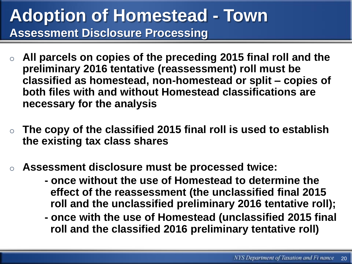#### **Adoption of Homestead - Town Assessment Disclosure Processing**

- All parcels on copies of the preceding 2015 final roll and the **preliminary 2016 tentative (reassessment) roll must be classified as homestead, non-homestead or split – copies of both files with and without Homestead classifications are necessary for the analysis**
- o **The copy of the classified 2015 final roll is used to establish the existing tax class shares**
- Assessment disclosure must be processed twice:
	- **- once without the use of Homestead to determine the effect of the reassessment (the unclassified final 2015 roll and the unclassified preliminary 2016 tentative roll);**
	- **- once with the use of Homestead (unclassified 2015 final roll and the classified 2016 preliminary tentative roll)**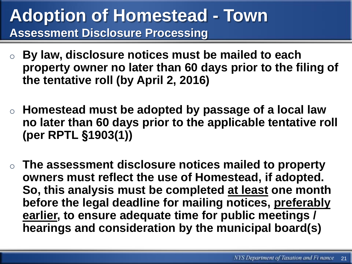#### **Adoption of Homestead - Town Assessment Disclosure Processing**

- o **By law, disclosure notices must be mailed to each property owner no later than 60 days prior to the filing of the tentative roll (by April 2, 2016)**
- o **Homestead must be adopted by passage of a local law no later than 60 days prior to the applicable tentative roll (per RPTL §1903(1))**
- o **The assessment disclosure notices mailed to property owners must reflect the use of Homestead, if adopted. So, this analysis must be completed at least one month before the legal deadline for mailing notices, preferably earlier, to ensure adequate time for public meetings / hearings and consideration by the municipal board(s)**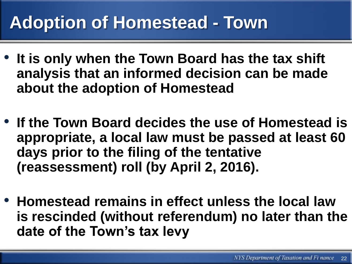## **Adoption of Homestead - Town**

- **It is only when the Town Board has the tax shift analysis that an informed decision can be made about the adoption of Homestead**
- **If the Town Board decides the use of Homestead is appropriate, a local law must be passed at least 60 days prior to the filing of the tentative (reassessment) roll (by April 2, 2016).**
- **Homestead remains in effect unless the local law is rescinded (without referendum) no later than the date of the Town's tax levy**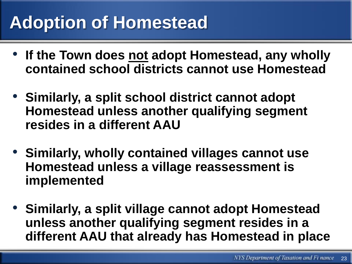## **Adoption of Homestead**

- **If the Town does not adopt Homestead, any wholly contained school districts cannot use Homestead**
- **Similarly, a split school district cannot adopt Homestead unless another qualifying segment resides in a different AAU**
- **Similarly, wholly contained villages cannot use Homestead unless a village reassessment is implemented**
- **Similarly, a split village cannot adopt Homestead unless another qualifying segment resides in a different AAU that already has Homestead in place**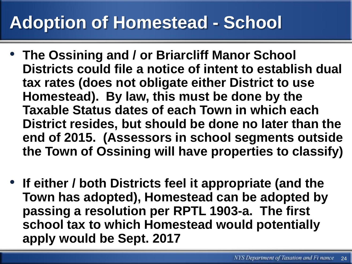## **Adoption of Homestead - School**

- **The Ossining and / or Briarcliff Manor School Districts could file a notice of intent to establish dual tax rates (does not obligate either District to use Homestead). By law, this must be done by the Taxable Status dates of each Town in which each District resides, but should be done no later than the end of 2015. (Assessors in school segments outside the Town of Ossining will have properties to classify)**
- **If either / both Districts feel it appropriate (and the Town has adopted), Homestead can be adopted by passing a resolution per RPTL 1903-a. The first school tax to which Homestead would potentially apply would be Sept. 2017**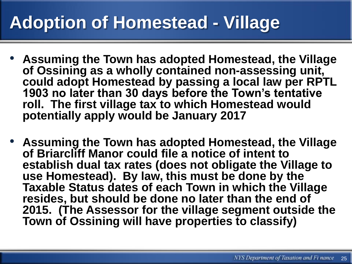## **Adoption of Homestead - Village**

- **Assuming the Town has adopted Homestead, the Village of Ossining as a wholly contained non-assessing unit, could adopt Homestead by passing a local law per RPTL 1903 no later than 30 days before the Town's tentative roll. The first village tax to which Homestead would potentially apply would be January 2017**
- **Assuming the Town has adopted Homestead, the Village of Briarcliff Manor could file a notice of intent to establish dual tax rates (does not obligate the Village to use Homestead). By law, this must be done by the Taxable Status dates of each Town in which the Village resides, but should be done no later than the end of 2015. (The Assessor for the village segment outside the Town of Ossining will have properties to classify)**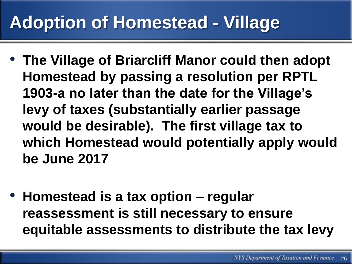## **Adoption of Homestead - Village**

- **The Village of Briarcliff Manor could then adopt Homestead by passing a resolution per RPTL 1903-a no later than the date for the Village's levy of taxes (substantially earlier passage would be desirable). The first village tax to which Homestead would potentially apply would be June 2017**
- **Homestead is a tax option – regular reassessment is still necessary to ensure equitable assessments to distribute the tax levy**